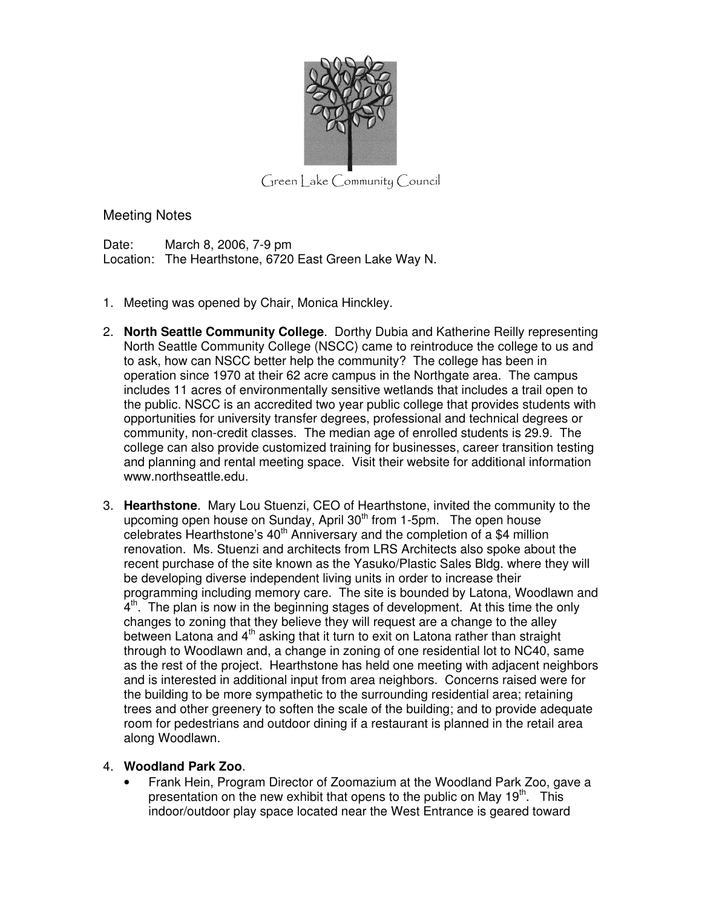

 $G$ reen | ake  $Commuty$   $C$  ouncil

Meeting Notes

Date: March 8, 2006, 7-9 pm Location: The Hearthstone, 6720 East Green Lake Way N.

- 1. Meeting was opened by Chair, Monica Hinckley.
- 2. **North Seattle Community College**. Dorthy Dubia and Katherine Reilly representing North Seattle Community College (NSCC) came to reintroduce the college to us and to ask, how can NSCC better help the community? The college has been in operation since 1970 at their 62 acre campus in the Northgate area. The campus includes 11 acres of environmentally sensitive wetlands that includes a trail open to the public. NSCC is an accredited two year public college that provides students with opportunities for university transfer degrees, professional and technical degrees or community, non-credit classes. The median age of enrolled students is 29.9. The college can also provide customized training for businesses, career transition testing and planning and rental meeting space. Visit their website for additional information www.northseattle.edu.
- 3. **Hearthstone**. Mary Lou Stuenzi, CEO of Hearthstone, invited the community to the upcoming open house on Sunday, April 30<sup>th</sup> from 1-5pm. The open house celebrates Hearthstone's  $40<sup>th</sup>$  Anniversary and the completion of a \$4 million renovation. Ms. Stuenzi and architects from LRS Architects also spoke about the recent purchase of the site known as the Yasuko/Plastic Sales Bldg. where they will be developing diverse independent living units in order to increase their programming including memory care. The site is bounded by Latona, Woodlawn and  $4<sup>th</sup>$ . The plan is now in the beginning stages of development. At this time the only changes to zoning that they believe they will request are a change to the alley between Latona and 4<sup>th</sup> asking that it turn to exit on Latona rather than straight through to Woodlawn and, a change in zoning of one residential lot to NC40, same as the rest of the project. Hearthstone has held one meeting with adjacent neighbors and is interested in additional input from area neighbors. Concerns raised were for the building to be more sympathetic to the surrounding residential area; retaining trees and other greenery to soften the scale of the building; and to provide adequate room for pedestrians and outdoor dining if a restaurant is planned in the retail area along Woodlawn.

## 4. **Woodland Park Zoo**.

• Frank Hein, Program Director of Zoomazium at the Woodland Park Zoo, gave a presentation on the new exhibit that opens to the public on May  $19<sup>th</sup>$ . This indoor/outdoor play space located near the West Entrance is geared toward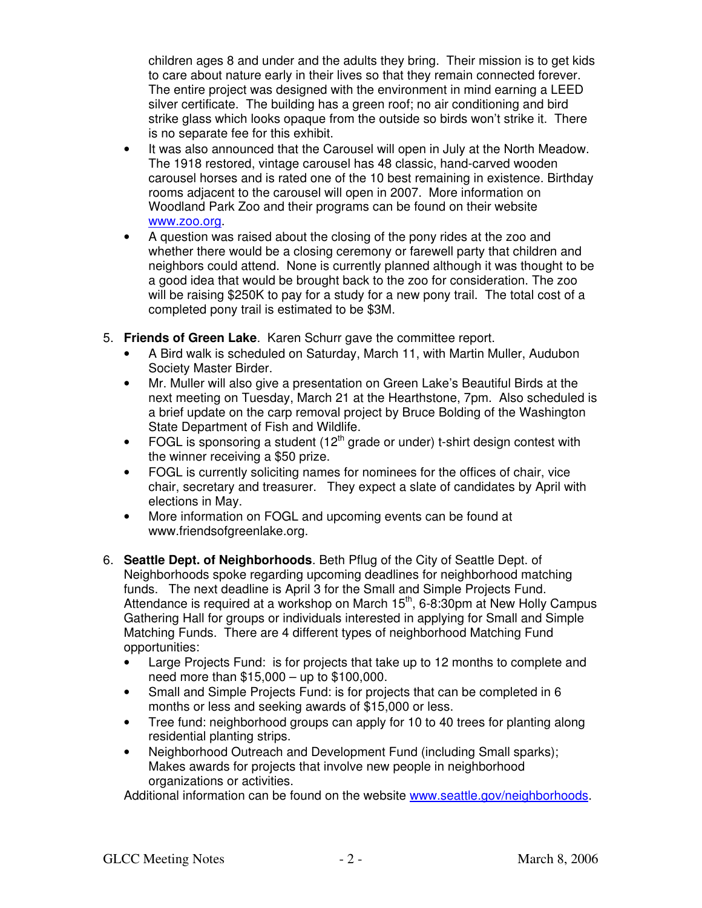children ages 8 and under and the adults they bring. Their mission is to get kids to care about nature early in their lives so that they remain connected forever. The entire project was designed with the environment in mind earning a LEED silver certificate. The building has a green roof; no air conditioning and bird strike glass which looks opaque from the outside so birds won't strike it. There is no separate fee for this exhibit.

- It was also announced that the Carousel will open in July at the North Meadow. The 1918 restored, vintage carousel has 48 classic, hand-carved wooden carousel horses and is rated one of the 10 best remaining in existence. Birthday rooms adjacent to the carousel will open in 2007. More information on Woodland Park Zoo and their programs can be found on their website www.zoo.org.
- A question was raised about the closing of the pony rides at the zoo and whether there would be a closing ceremony or farewell party that children and neighbors could attend. None is currently planned although it was thought to be a good idea that would be brought back to the zoo for consideration. The zoo will be raising \$250K to pay for a study for a new pony trail. The total cost of a completed pony trail is estimated to be \$3M.
- 5. **Friends of Green Lake**. Karen Schurr gave the committee report.
	- A Bird walk is scheduled on Saturday, March 11, with Martin Muller, Audubon Society Master Birder.
	- Mr. Muller will also give a presentation on Green Lake's Beautiful Birds at the next meeting on Tuesday, March 21 at the Hearthstone, 7pm. Also scheduled is a brief update on the carp removal project by Bruce Bolding of the Washington State Department of Fish and Wildlife.
	- FOGL is sponsoring a student  $(12<sup>th</sup>$  grade or under) t-shirt design contest with the winner receiving a \$50 prize.
	- FOGL is currently soliciting names for nominees for the offices of chair, vice chair, secretary and treasurer. They expect a slate of candidates by April with elections in May.
	- More information on FOGL and upcoming events can be found at www.friendsofgreenlake.org.
- 6. **Seattle Dept. of Neighborhoods**. Beth Pflug of the City of Seattle Dept. of Neighborhoods spoke regarding upcoming deadlines for neighborhood matching funds. The next deadline is April 3 for the Small and Simple Projects Fund. Attendance is required at a workshop on March  $15<sup>th</sup>$ , 6-8:30pm at New Holly Campus Gathering Hall for groups or individuals interested in applying for Small and Simple Matching Funds. There are 4 different types of neighborhood Matching Fund opportunities:
	- Large Projects Fund: is for projects that take up to 12 months to complete and need more than \$15,000 – up to \$100,000.
	- Small and Simple Projects Fund: is for projects that can be completed in 6 months or less and seeking awards of \$15,000 or less.
	- Tree fund: neighborhood groups can apply for 10 to 40 trees for planting along residential planting strips.
	- Neighborhood Outreach and Development Fund (including Small sparks); Makes awards for projects that involve new people in neighborhood organizations or activities.

Additional information can be found on the website www.seattle.gov/neighborhoods.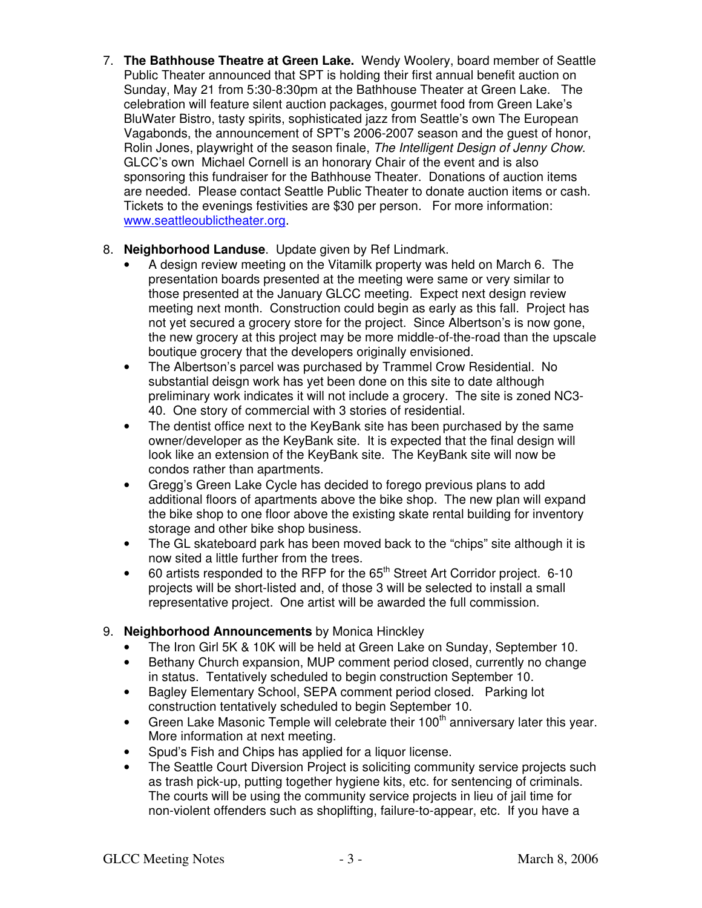7. **The Bathhouse Theatre at Green Lake.** Wendy Woolery, board member of Seattle Public Theater announced that SPT is holding their first annual benefit auction on Sunday, May 21 from 5:30-8:30pm at the Bathhouse Theater at Green Lake. The celebration will feature silent auction packages, gourmet food from Green Lake's BluWater Bistro, tasty spirits, sophisticated jazz from Seattle's own The European Vagabonds, the announcement of SPT's 2006-2007 season and the guest of honor, Rolin Jones, playwright of the season finale, The Intelligent Design of Jenny Chow. GLCC's own Michael Cornell is an honorary Chair of the event and is also sponsoring this fundraiser for the Bathhouse Theater. Donations of auction items are needed. Please contact Seattle Public Theater to donate auction items or cash. Tickets to the evenings festivities are \$30 per person. For more information: www.seattleoublictheater.org.

## 8. **Neighborhood Landuse**. Update given by Ref Lindmark.

- A design review meeting on the Vitamilk property was held on March 6. The presentation boards presented at the meeting were same or very similar to those presented at the January GLCC meeting. Expect next design review meeting next month. Construction could begin as early as this fall. Project has not yet secured a grocery store for the project. Since Albertson's is now gone, the new grocery at this project may be more middle-of-the-road than the upscale boutique grocery that the developers originally envisioned.
- The Albertson's parcel was purchased by Trammel Crow Residential. No substantial deisgn work has yet been done on this site to date although preliminary work indicates it will not include a grocery. The site is zoned NC3- 40. One story of commercial with 3 stories of residential.
- The dentist office next to the KeyBank site has been purchased by the same owner/developer as the KeyBank site. It is expected that the final design will look like an extension of the KeyBank site. The KeyBank site will now be condos rather than apartments.
- Gregg's Green Lake Cycle has decided to forego previous plans to add additional floors of apartments above the bike shop. The new plan will expand the bike shop to one floor above the existing skate rental building for inventory storage and other bike shop business.
- The GL skateboard park has been moved back to the "chips" site although it is now sited a little further from the trees.
- $\bullet$  60 artists responded to the RFP for the 65<sup>th</sup> Street Art Corridor project. 6-10 projects will be short-listed and, of those 3 will be selected to install a small representative project. One artist will be awarded the full commission.

## 9. **Neighborhood Announcements** by Monica Hinckley

- The Iron Girl 5K & 10K will be held at Green Lake on Sunday, September 10.
- Bethany Church expansion, MUP comment period closed, currently no change in status. Tentatively scheduled to begin construction September 10.
- Bagley Elementary School, SEPA comment period closed. Parking lot construction tentatively scheduled to begin September 10.
- Green Lake Masonic Temple will celebrate their  $100<sup>th</sup>$  anniversary later this year. More information at next meeting.
- Spud's Fish and Chips has applied for a liquor license.
- The Seattle Court Diversion Project is soliciting community service projects such as trash pick-up, putting together hygiene kits, etc. for sentencing of criminals. The courts will be using the community service projects in lieu of jail time for non-violent offenders such as shoplifting, failure-to-appear, etc. If you have a